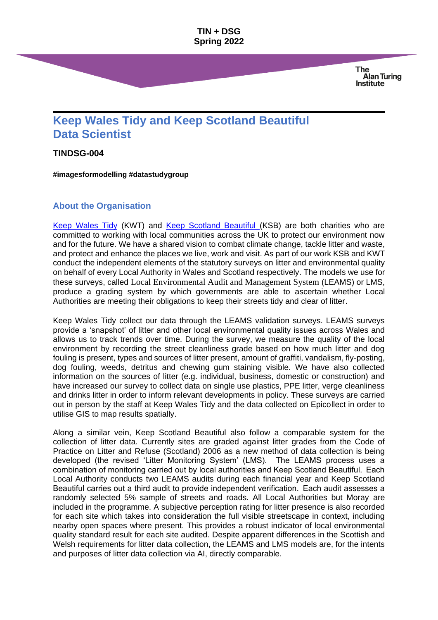**TIN + DSG Spring 2022**

> The **Alan Turing Institute**

# **Keep Wales Tidy and Keep Scotland Beautiful Data Scientist**

#### **TINDSG-004**

**#imagesformodelling #datastudygroup**

# **About the Organisation**

[Keep Wales Tidy](https://keepwalestidy.cymru/) (KWT) and [Keep Scotland Beautiful \(](https://www.keepscotlandbeautiful.org/)KSB) are both charities who are committed to working with local communities across the UK to protect our environment now and for the future. We have a shared vision to combat climate change, tackle litter and waste, and protect and enhance the places we live, work and visit. As part of our work KSB and KWT conduct the independent elements of the statutory surveys on litter and environmental quality on behalf of every Local Authority in Wales and Scotland respectively. The models we use for these surveys, called Local Environmental Audit and Management System (LEAMS) or LMS, produce a grading system by which governments are able to ascertain whether Local Authorities are meeting their obligations to keep their streets tidy and clear of litter.

Keep Wales Tidy collect our data through the LEAMS validation surveys. LEAMS surveys provide a 'snapshot' of litter and other local environmental quality issues across Wales and allows us to track trends over time. During the survey, we measure the quality of the local environment by recording the street cleanliness grade based on how much litter and dog fouling is present, types and sources of litter present, amount of graffiti, vandalism, fly-posting, dog fouling, weeds, detritus and chewing gum staining visible. We have also collected information on the sources of litter (e.g. individual, business, domestic or construction) and have increased our survey to collect data on single use plastics, PPE litter, verge cleanliness and drinks litter in order to inform relevant developments in policy. These surveys are carried out in person by the staff at Keep Wales Tidy and the data collected on Epicollect in order to utilise GIS to map results spatially.

Along a similar vein, Keep Scotland Beautiful also follow a comparable system for the collection of litter data. Currently sites are graded against litter grades from the Code of Practice on Litter and Refuse (Scotland) 2006 as a new method of data collection is being developed (the revised 'Litter Monitoring System' (LMS). The LEAMS process uses a combination of monitoring carried out by local authorities and Keep Scotland Beautiful.  Each Local Authority conducts two LEAMS audits during each financial year and Keep Scotland Beautiful carries out a third audit to provide independent verification.  Each audit assesses a randomly selected 5% sample of streets and roads. All Local Authorities but Moray are included in the programme. A subjective perception rating for litter presence is also recorded for each site which takes into consideration the full visible streetscape in context, including nearby open spaces where present. This provides a robust indicator of local environmental quality standard result for each site audited. Despite apparent differences in the Scottish and Welsh requirements for litter data collection, the LEAMS and LMS models are, for the intents and purposes of litter data collection via AI, directly comparable.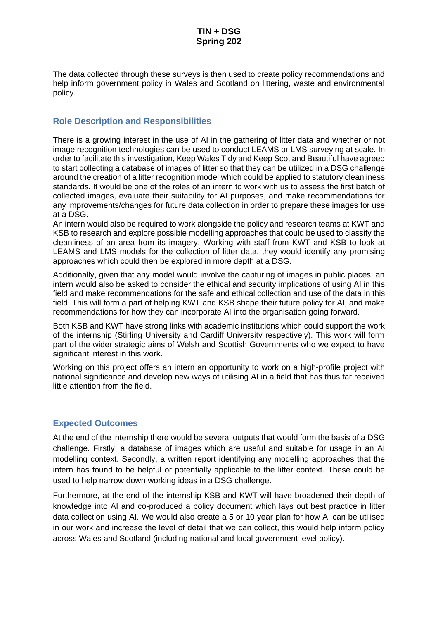The data collected through these surveys is then used to create policy recommendations and help inform government policy in Wales and Scotland on littering, waste and environmental policy.

# **Role Description and Responsibilities**

There is a growing interest in the use of AI in the gathering of litter data and whether or not image recognition technologies can be used to conduct LEAMS or LMS surveying at scale. In order to facilitate this investigation, Keep Wales Tidy and Keep Scotland Beautiful have agreed to start collecting a database of images of litter so that they can be utilized in a DSG challenge around the creation of a litter recognition model which could be applied to statutory cleanliness standards. It would be one of the roles of an intern to work with us to assess the first batch of collected images, evaluate their suitability for AI purposes, and make recommendations for any improvements/changes for future data collection in order to prepare these images for use at a DSG.

An intern would also be required to work alongside the policy and research teams at KWT and KSB to research and explore possible modelling approaches that could be used to classify the cleanliness of an area from its imagery. Working with staff from KWT and KSB to look at LEAMS and LMS models for the collection of litter data, they would identify any promising approaches which could then be explored in more depth at a DSG.

Additionally, given that any model would involve the capturing of images in public places, an intern would also be asked to consider the ethical and security implications of using AI in this field and make recommendations for the safe and ethical collection and use of the data in this field. This will form a part of helping KWT and KSB shape their future policy for AI, and make recommendations for how they can incorporate AI into the organisation going forward.

Both KSB and KWT have strong links with academic institutions which could support the work of the internship (Stirling University and Cardiff University respectively). This work will form part of the wider strategic aims of Welsh and Scottish Governments who we expect to have significant interest in this work.

Working on this project offers an intern an opportunity to work on a high-profile project with national significance and develop new ways of utilising AI in a field that has thus far received little attention from the field.

# **Expected Outcomes**

At the end of the internship there would be several outputs that would form the basis of a DSG challenge. Firstly, a database of images which are useful and suitable for usage in an AI modelling context. Secondly, a written report identifying any modelling approaches that the intern has found to be helpful or potentially applicable to the litter context. These could be used to help narrow down working ideas in a DSG challenge.

Furthermore, at the end of the internship KSB and KWT will have broadened their depth of knowledge into AI and co-produced a policy document which lays out best practice in litter data collection using AI. We would also create a 5 or 10 year plan for how AI can be utilised in our work and increase the level of detail that we can collect, this would help inform policy across Wales and Scotland (including national and local government level policy).